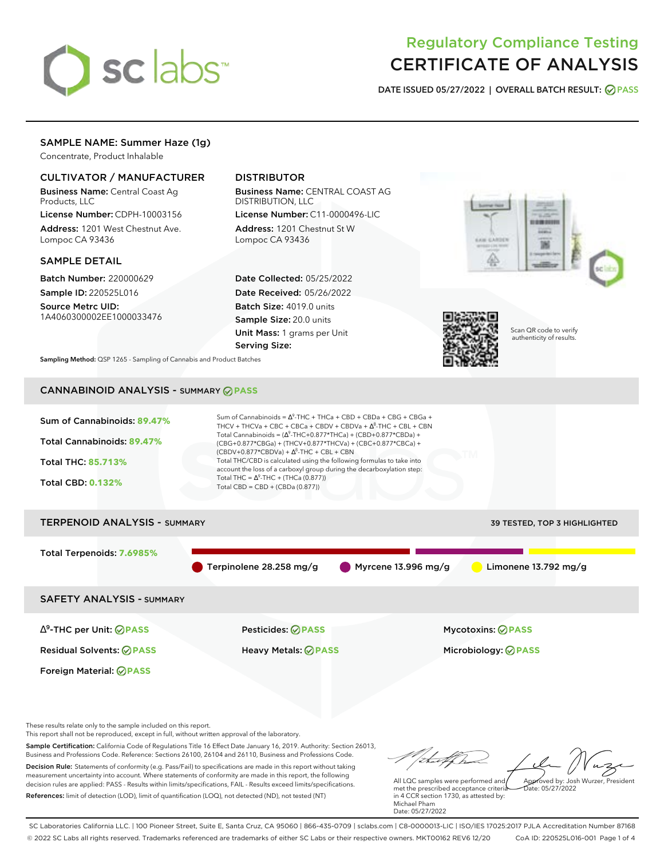# sclabs<sup>\*</sup>

## Regulatory Compliance Testing CERTIFICATE OF ANALYSIS

**DATE ISSUED 05/27/2022 | OVERALL BATCH RESULT: PASS**

## SAMPLE NAME: Summer Haze (1g)

Concentrate, Product Inhalable

## CULTIVATOR / MANUFACTURER

Business Name: Central Coast Ag Products, LLC

License Number: CDPH-10003156 Address: 1201 West Chestnut Ave. Lompoc CA 93436

### SAMPLE DETAIL

Batch Number: 220000629 Sample ID: 220525L016

Source Metrc UID: 1A4060300002EE1000033476

## DISTRIBUTOR

Business Name: CENTRAL COAST AG DISTRIBUTION, LLC License Number: C11-0000496-LIC

Address: 1201 Chestnut St W Lompoc CA 93436

Date Collected: 05/25/2022 Date Received: 05/26/2022 Batch Size: 4019.0 units Sample Size: 20.0 units Unit Mass: 1 grams per Unit Serving Size:





Scan QR code to verify authenticity of results.

**Sampling Method:** QSP 1265 - Sampling of Cannabis and Product Batches

## CANNABINOID ANALYSIS - SUMMARY **PASS**

| Sum of Cannabinoids: 89.47%<br>Total Cannabinoids: 89.47%<br><b>Total THC: 85.713%</b><br><b>Total CBD: 0.132%</b> | Sum of Cannabinoids = $\Delta^9$ -THC + THCa + CBD + CBDa + CBG + CBGa +<br>THCV + THCVa + CBC + CBCa + CBDV + CBDVa + $\Delta^8$ -THC + CBL + CBN<br>Total Cannabinoids = $(\Delta^9$ -THC+0.877*THCa) + (CBD+0.877*CBDa) +<br>(CBG+0.877*CBGa) + (THCV+0.877*THCVa) + (CBC+0.877*CBCa) +<br>$(CBDV+0.877*CBDVa) + \Delta^8$ -THC + CBL + CBN<br>Total THC/CBD is calculated using the following formulas to take into<br>account the loss of a carboxyl group during the decarboxylation step:<br>Total THC = $\Delta^9$ -THC + (THCa (0.877))<br>Total CBD = $CBD + (CBDa (0.877))$ |                                     |
|--------------------------------------------------------------------------------------------------------------------|----------------------------------------------------------------------------------------------------------------------------------------------------------------------------------------------------------------------------------------------------------------------------------------------------------------------------------------------------------------------------------------------------------------------------------------------------------------------------------------------------------------------------------------------------------------------------------------|-------------------------------------|
| <b>TERPENOID ANALYSIS - SUMMARY</b>                                                                                |                                                                                                                                                                                                                                                                                                                                                                                                                                                                                                                                                                                        | <b>39 TESTED, TOP 3 HIGHLIGHTED</b> |

Total Terpenoids: **7.6985%**

Terpinolene 28.258 mg/g  $\bullet$  Myrcene 13.996 mg/g  $\bullet$  Limonene 13.792 mg/g

SAFETY ANALYSIS - SUMMARY

∆ 9 -THC per Unit: **PASS** Pesticides: **PASS** Mycotoxins: **PASS**

Foreign Material: **PASS**

Residual Solvents: **PASS** Heavy Metals: **PASS** Microbiology: **PASS**

These results relate only to the sample included on this report.

This report shall not be reproduced, except in full, without written approval of the laboratory.

Sample Certification: California Code of Regulations Title 16 Effect Date January 16, 2019. Authority: Section 26013, Business and Professions Code. Reference: Sections 26100, 26104 and 26110, Business and Professions Code. Decision Rule: Statements of conformity (e.g. Pass/Fail) to specifications are made in this report without taking measurement uncertainty into account. Where statements of conformity are made in this report, the following decision rules are applied: PASS - Results within limits/specifications, FAIL - Results exceed limits/specifications.

References: limit of detection (LOD), limit of quantification (LOQ), not detected (ND), not tested (NT)

Approved by: Josh Wurzer, President

 $hat: 05/27/2022$ 

All LQC samples were performed and met the prescribed acceptance criteria in 4 CCR section 1730, as attested by: Michael Pham Date: 05/27/2022

SC Laboratories California LLC. | 100 Pioneer Street, Suite E, Santa Cruz, CA 95060 | 866-435-0709 | sclabs.com | C8-0000013-LIC | ISO/IES 17025:2017 PJLA Accreditation Number 87168 © 2022 SC Labs all rights reserved. Trademarks referenced are trademarks of either SC Labs or their respective owners. MKT00162 REV6 12/20 CoA ID: 220525L016-001 Page 1 of 4